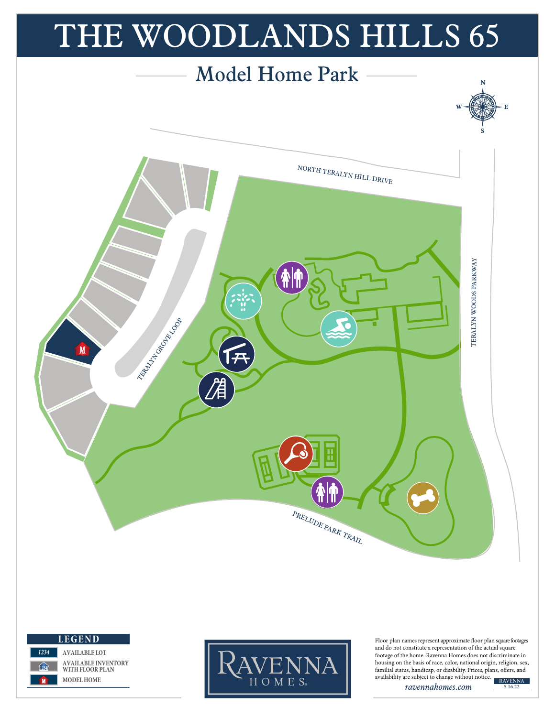



*1234*

**1234** *1234*

**AVAILABLE LOT AVAILABLE INVENTORY WITH FLOOR PLAN MODEL HOME**



Floor plan names represent approximate floor plan square footages and do not constitute a representation of the actual square footage of the home. Ravenna Homes does not discriminate in housing on the basis of race, color, national origin, religion, sex, availability are subject to change without notice.

*ravennahomes.com*

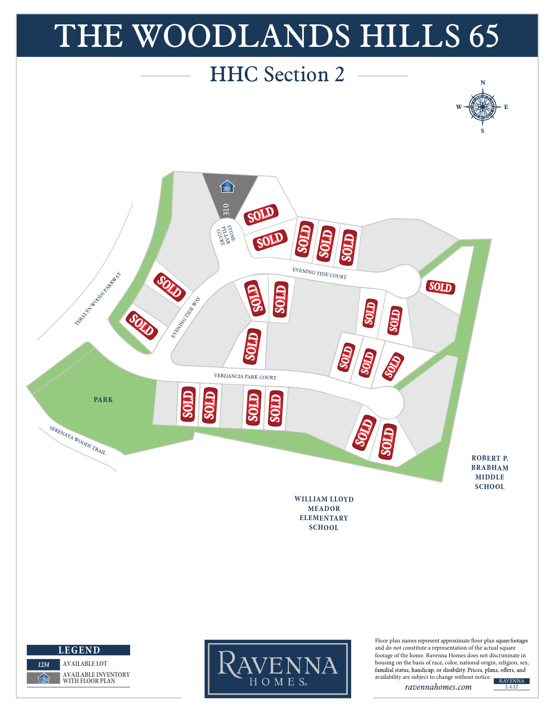

*ravennahomes.com*

2.4.22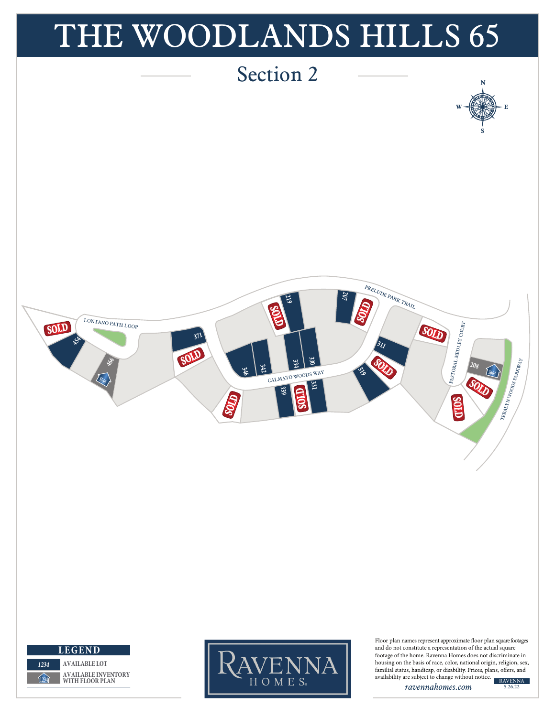

*ravennahomes.com*

5.26.22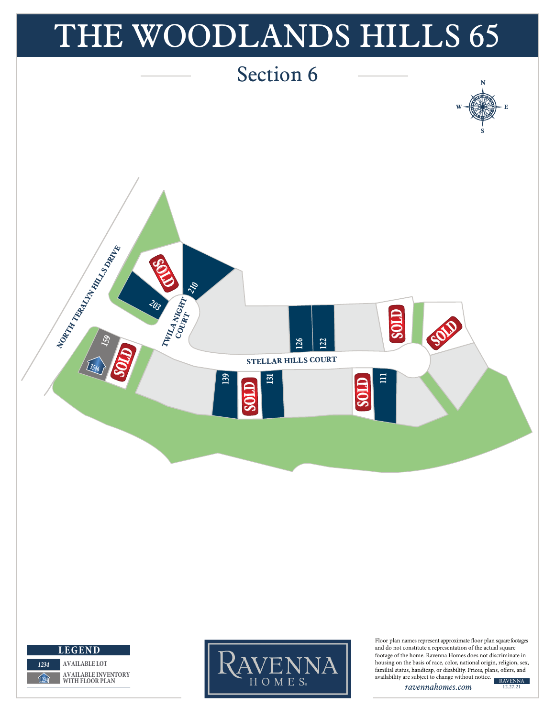

*ravennahomes.com*

12.27.21